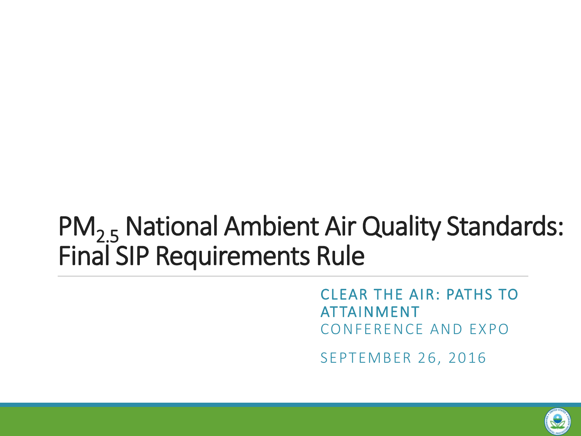## PM<sub>2.5</sub> National Ambient Air Quality Standards: Final SIP Requirements Rule

CLEAR THE AIR: PATHS TO ATTAINMENT CONFERENCE AND EXPO

SEPTEMBER 26, 2016

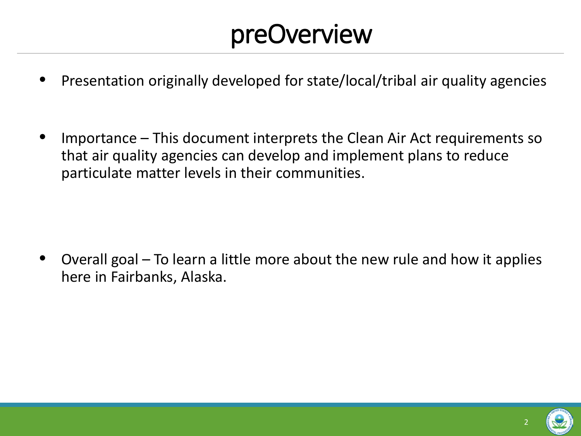## preOverview

- Presentation originally developed for state/local/tribal air quality agencies
- Importance This document interprets the Clean Air Act requirements so that air quality agencies can develop and implement plans to reduce particulate matter levels in their communities.

• Overall goal – To learn a little more about the new rule and how it applies here in Fairbanks, Alaska.

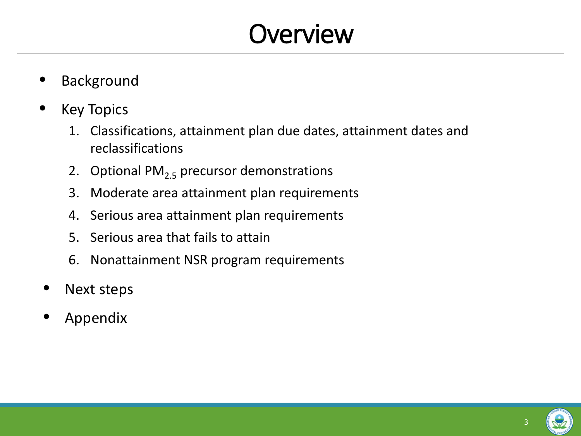## **Overview**

- **Background**
- **Key Topics** 
	- 1. Classifications, attainment plan due dates, attainment dates and reclassifications
	- 2. Optional  $PM<sub>2.5</sub>$  precursor demonstrations
	- 3. Moderate area attainment plan requirements
	- 4. Serious area attainment plan requirements
	- 5. Serious area that fails to attain
	- 6. Nonattainment NSR program requirements
- Next steps
- Appendix

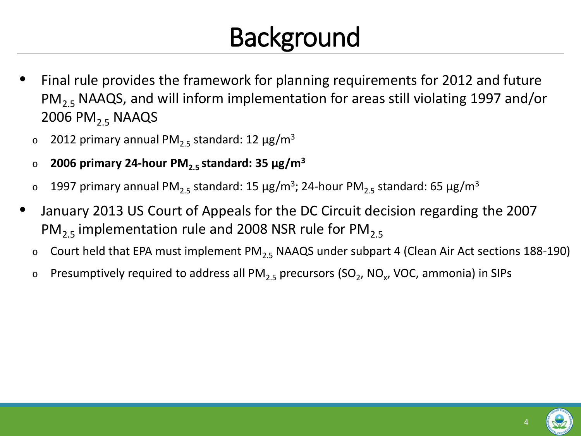# Background

- Final rule provides the framework for planning requirements for 2012 and future PM<sub>2.5</sub> NAAQS, and will inform implementation for areas still violating 1997 and/or 2006 PM<sub>2.5</sub> NAAQS
	- $\sigma$  2012 primary annual PM<sub>2.5</sub> standard: 12 μg/m<sup>3</sup>
	- <sup>o</sup> **2006 primary 24-hour PM2.5 standard: 35 μg/m3**
	- ο 1997 primary annual PM<sub>2.5</sub> standard: 15 μg/m<sup>3</sup>; 24-hour PM<sub>2.5</sub> standard: 65 μg/m<sup>3</sup>
- January 2013 US Court of Appeals for the DC Circuit decision regarding the 2007 PM<sub>2.5</sub> implementation rule and 2008 NSR rule for PM<sub>2.5</sub>
	- $\circ$  Court held that EPA must implement PM<sub>2.5</sub> NAAQS under subpart 4 (Clean Air Act sections 188-190)
	- $\circ$  Presumptively required to address all PM<sub>2.5</sub> precursors (SO<sub>2</sub>, NO<sub>x</sub>, VOC, ammonia) in SIPs

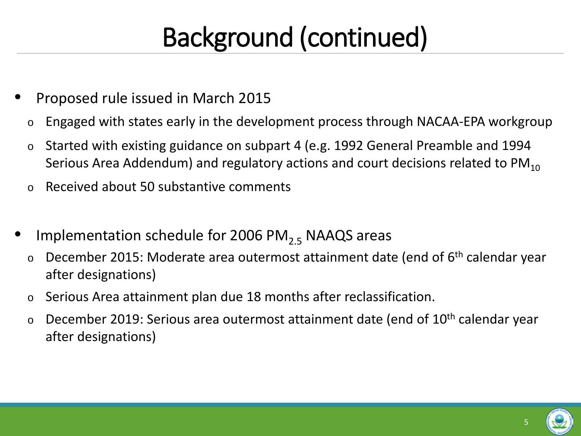# Background (continued)

- Proposed rule issued in March 2015
	- o Engaged with states early in the development process through NACAA-EPA workgroup
	- o Started with existing guidance on subpart 4 (e.g. 1992 General Preamble and 1994 Serious Area Addendum) and regulatory actions and court decisions related to  $PM_{10}$
	- o Received about 50 substantive comments
- Implementation schedule for 2006 PM<sub>2.5</sub> NAAQS areas
	- $\circ$  December 2015: Moderate area outermost attainment date (end of  $6<sup>th</sup>$  calendar year after designations)
	- o Serious Area attainment plan due 18 months after reclassification.
	- $\circ$  December 2019: Serious area outermost attainment date (end of 10<sup>th</sup> calendar year after designations)

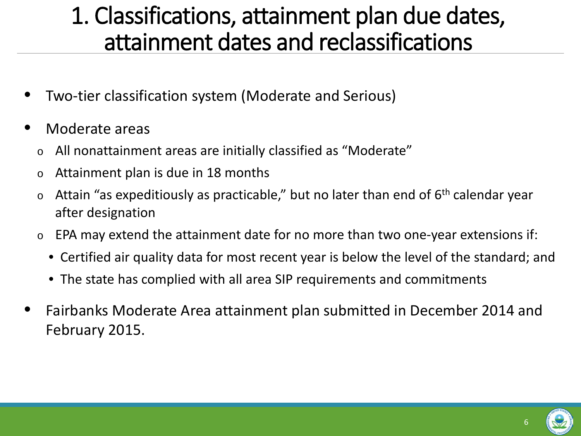### 1. Classifications, attainment plan due dates, attainment dates and reclassifications

- Two-tier classification system (Moderate and Serious)
- Moderate areas
	- o All nonattainment areas are initially classified as "Moderate"
	- o Attainment plan is due in 18 months
	- $\circ$  Attain "as expeditiously as practicable," but no later than end of 6<sup>th</sup> calendar year after designation
	- o EPA may extend the attainment date for no more than two one-year extensions if:
		- Certified air quality data for most recent year is below the level of the standard; and
		- The state has complied with all area SIP requirements and commitments
- Fairbanks Moderate Area attainment plan submitted in December 2014 and February 2015.

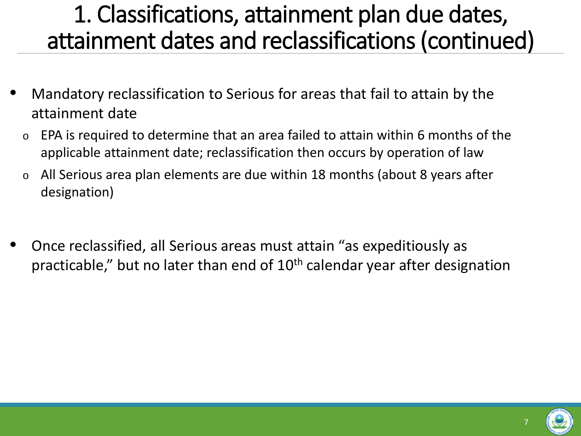### 1. Classifications, attainment plan due dates, attainment dates and reclassifications (continued)

- Mandatory reclassification to Serious for areas that fail to attain by the attainment date
	- EPA is required to determine that an area failed to attain within 6 months of the applicable attainment date; reclassification then occurs by operation of law
	- All Serious area plan elements are due within 18 months (about 8 years after designation)
- Once reclassified, all Serious areas must attain "as expeditiously as practicable," but no later than end of 10<sup>th</sup> calendar year after designation

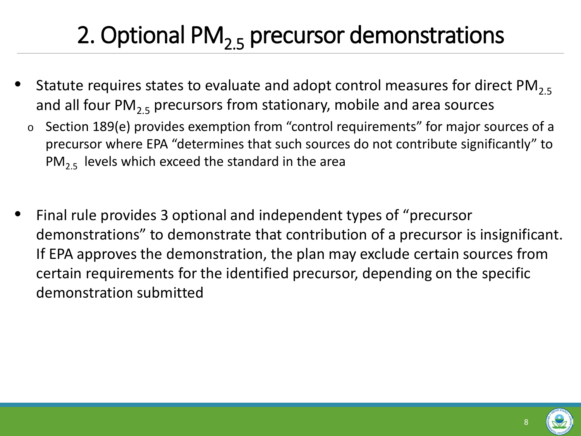## 2. Optional PM<sub>2.5</sub> precursor demonstrations

- Statute requires states to evaluate and adopt control measures for direct  $PM_{2.5}$ and all four PM<sub>2.5</sub> precursors from stationary, mobile and area sources
	- o Section 189(e) provides exemption from "control requirements" for major sources of a precursor where EPA "determines that such sources do not contribute significantly" to  $PM<sub>2.5</sub>$  levels which exceed the standard in the area
- Final rule provides 3 optional and independent types of "precursor demonstrations" to demonstrate that contribution of a precursor is insignificant. If EPA approves the demonstration, the plan may exclude certain sources from certain requirements for the identified precursor, depending on the specific demonstration submitted

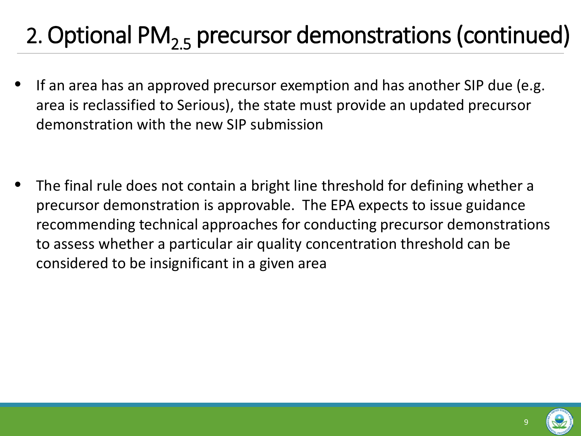- If an area has an approved precursor exemption and has another SIP due (e.g. area is reclassified to Serious), the state must provide an updated precursor demonstration with the new SIP submission
- The final rule does not contain a bright line threshold for defining whether a precursor demonstration is approvable. The EPA expects to issue guidance recommending technical approaches for conducting precursor demonstrations to assess whether a particular air quality concentration threshold can be considered to be insignificant in a given area

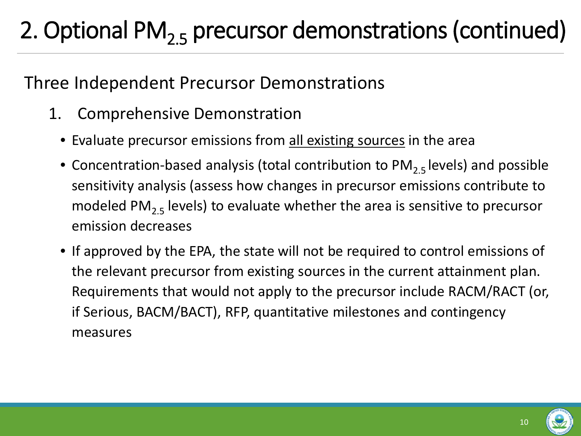### Three Independent Precursor Demonstrations

- 1. Comprehensive Demonstration
	- Evaluate precursor emissions from all existing sources in the area
	- Concentration-based analysis (total contribution to  $PM_{2.5}$  levels) and possible sensitivity analysis (assess how changes in precursor emissions contribute to modeled PM<sub>2.5</sub> levels) to evaluate whether the area is sensitive to precursor emission decreases
	- If approved by the EPA, the state will not be required to control emissions of the relevant precursor from existing sources in the current attainment plan. Requirements that would not apply to the precursor include RACM/RACT (or, if Serious, BACM/BACT), RFP, quantitative milestones and contingency measures



10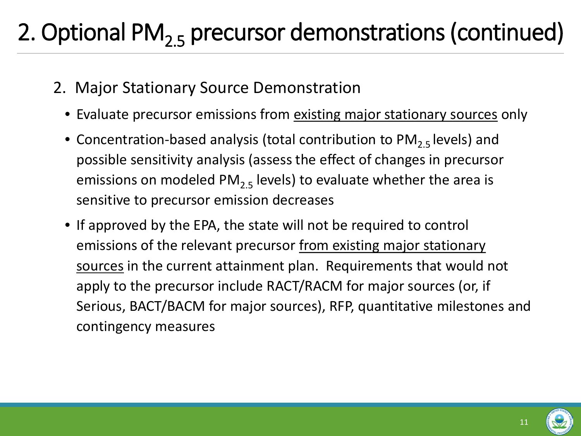- 2. Major Stationary Source Demonstration
	- Evaluate precursor emissions from existing major stationary sources only
	- Concentration-based analysis (total contribution to  $PM_{2.5}$  levels) and possible sensitivity analysis (assess the effect of changes in precursor emissions on modeled PM<sub>2.5</sub> levels) to evaluate whether the area is sensitive to precursor emission decreases
	- If approved by the EPA, the state will not be required to control emissions of the relevant precursor from existing major stationary sources in the current attainment plan. Requirements that would not apply to the precursor include RACT/RACM for major sources (or, if Serious, BACT/BACM for major sources), RFP, quantitative milestones and contingency measures

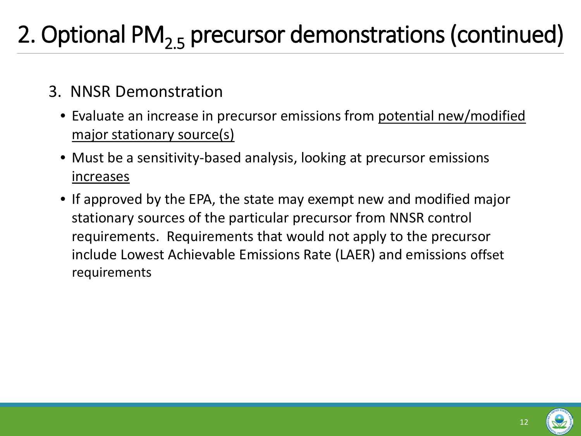- 3. NNSR Demonstration
	- Evaluate an increase in precursor emissions from potential new/modified major stationary source(s)
	- Must be a sensitivity-based analysis, looking at precursor emissions increases
	- If approved by the EPA, the state may exempt new and modified major stationary sources of the particular precursor from NNSR control requirements. Requirements that would not apply to the precursor include Lowest Achievable Emissions Rate (LAER) and emissions offset requirements

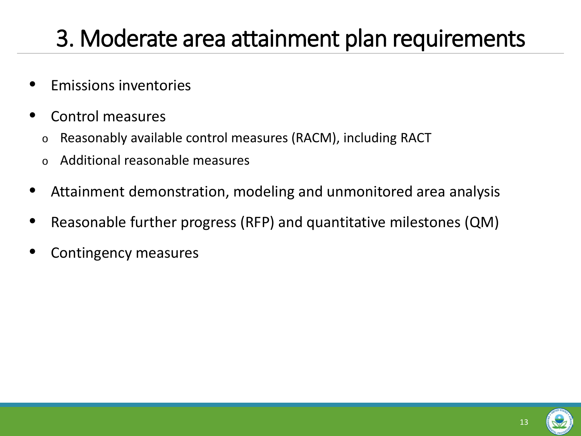### 3. Moderate area attainment plan requirements

- Emissions inventories
- Control measures
	- o Reasonably available control measures (RACM), including RACT
	- o Additional reasonable measures
- Attainment demonstration, modeling and unmonitored area analysis
- Reasonable further progress (RFP) and quantitative milestones (QM)
- Contingency measures

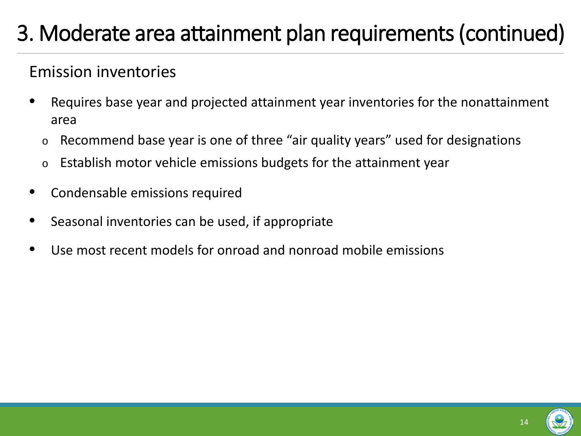#### Emission inventories

- Requires base year and projected attainment year inventories for the nonattainment area
	- o Recommend base year is one of three "air quality years" used for designations
	- o Establish motor vehicle emissions budgets for the attainment year
- Condensable emissions required
- Seasonal inventories can be used, if appropriate
- Use most recent models for onroad and nonroad mobile emissions

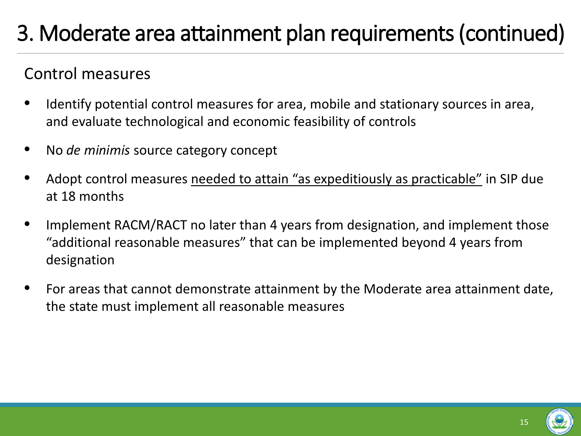### Control measures

- Identify potential control measures for area, mobile and stationary sources in area, and evaluate technological and economic feasibility of controls
- No *de minimis* source category concept
- Adopt control measures needed to attain "as expeditiously as practicable" in SIP due at 18 months
- Implement RACM/RACT no later than 4 years from designation, and implement those "additional reasonable measures" that can be implemented beyond 4 years from designation
- For areas that cannot demonstrate attainment by the Moderate area attainment date, the state must implement all reasonable measures

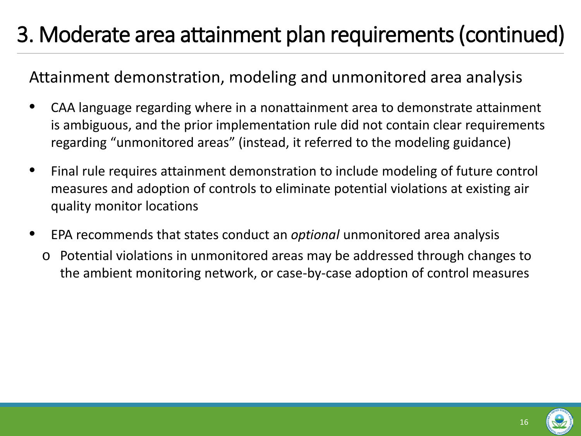#### Attainment demonstration, modeling and unmonitored area analysis

- CAA language regarding where in a nonattainment area to demonstrate attainment is ambiguous, and the prior implementation rule did not contain clear requirements regarding "unmonitored areas" (instead, it referred to the modeling guidance)
- Final rule requires attainment demonstration to include modeling of future control measures and adoption of controls to eliminate potential violations at existing air quality monitor locations
- EPA recommends that states conduct an *optional* unmonitored area analysis
	- o Potential violations in unmonitored areas may be addressed through changes to the ambient monitoring network, or case-by-case adoption of control measures

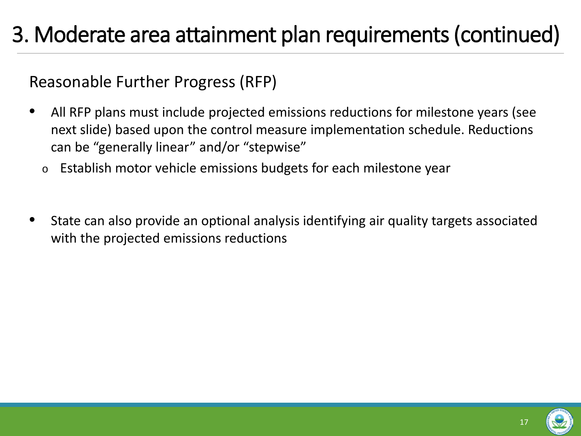Reasonable Further Progress (RFP)

- All RFP plans must include projected emissions reductions for milestone years (see next slide) based upon the control measure implementation schedule. Reductions can be "generally linear" and/or "stepwise"
	- o Establish motor vehicle emissions budgets for each milestone year
- State can also provide an optional analysis identifying air quality targets associated with the projected emissions reductions

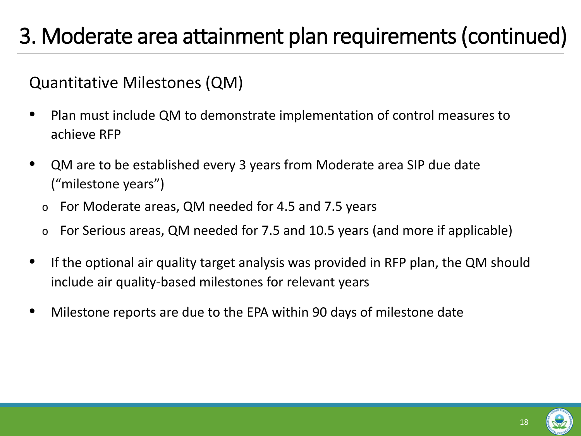#### Quantitative Milestones (QM)

- Plan must include QM to demonstrate implementation of control measures to achieve RFP
- QM are to be established every 3 years from Moderate area SIP due date ("milestone years")
	- o For Moderate areas, QM needed for 4.5 and 7.5 years
	- o For Serious areas, QM needed for 7.5 and 10.5 years (and more if applicable)
- If the optional air quality target analysis was provided in RFP plan, the QM should include air quality-based milestones for relevant years
- Milestone reports are due to the EPA within 90 days of milestone date

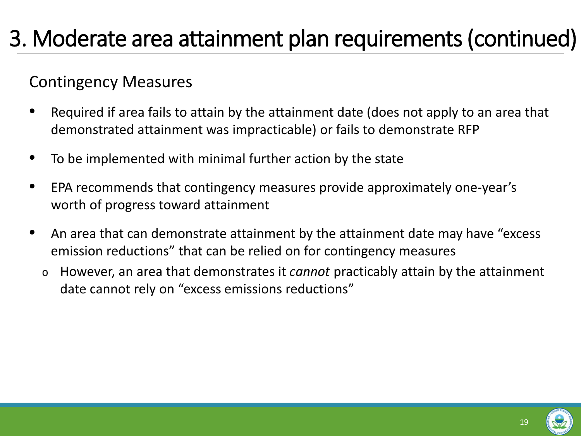#### Contingency Measures

- Required if area fails to attain by the attainment date (does not apply to an area that demonstrated attainment was impracticable) or fails to demonstrate RFP
- To be implemented with minimal further action by the state
- EPA recommends that contingency measures provide approximately one-year's worth of progress toward attainment
- An area that can demonstrate attainment by the attainment date may have "excess emission reductions" that can be relied on for contingency measures
	- <sup>o</sup> However, an area that demonstrates it *cannot* practicably attain by the attainment date cannot rely on "excess emissions reductions"

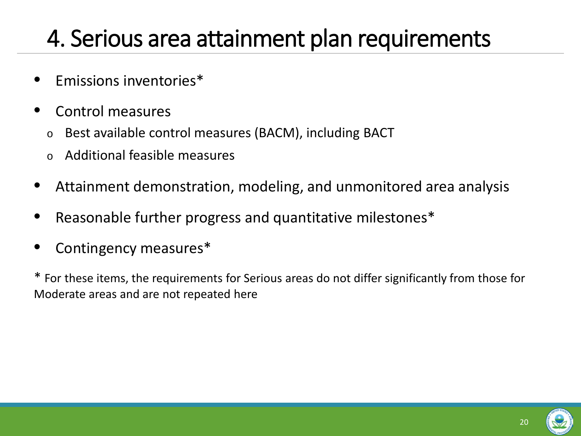### 4. Serious area attainment plan requirements

- Emissions inventories\*
- Control measures
	- o Best available control measures (BACM), including BACT
	- Additional feasible measures
- Attainment demonstration, modeling, and unmonitored area analysis
- Reasonable further progress and quantitative milestones\*
- Contingency measures\*

\* For these items, the requirements for Serious areas do not differ significantly from those for Moderate areas and are not repeated here

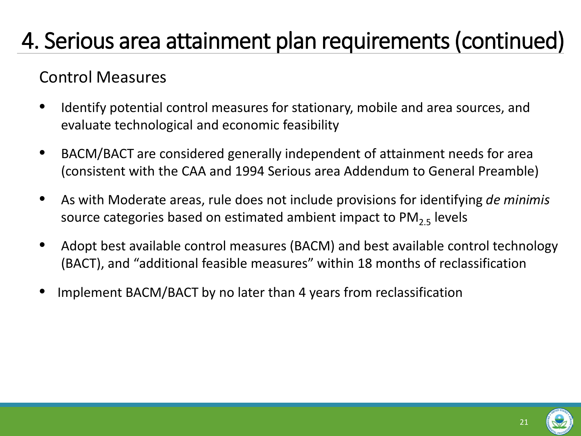#### Control Measures

- Identify potential control measures for stationary, mobile and area sources, and evaluate technological and economic feasibility
- BACM/BACT are considered generally independent of attainment needs for area (consistent with the CAA and 1994 Serious area Addendum to General Preamble)
- As with Moderate areas, rule does not include provisions for identifying *de minimis*  source categories based on estimated ambient impact to  $PM_{2.5}$  levels
- Adopt best available control measures (BACM) and best available control technology (BACT), and "additional feasible measures" within 18 months of reclassification
- Implement BACM/BACT by no later than 4 years from reclassification

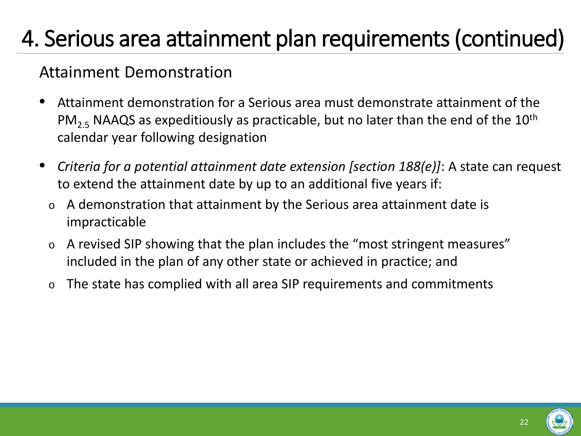#### Attainment Demonstration

- Attainment demonstration for a Serious area must demonstrate attainment of the PM<sub>2.5</sub> NAAQS as expeditiously as practicable, but no later than the end of the 10<sup>th</sup> calendar year following designation
- *Criteria for a potential attainment date extension [section 188(e)]*: A state can request to extend the attainment date by up to an additional five years if:
	- o A demonstration that attainment by the Serious area attainment date is impracticable
	- o A revised SIP showing that the plan includes the "most stringent measures" included in the plan of any other state or achieved in practice; and
	- o The state has complied with all area SIP requirements and commitments

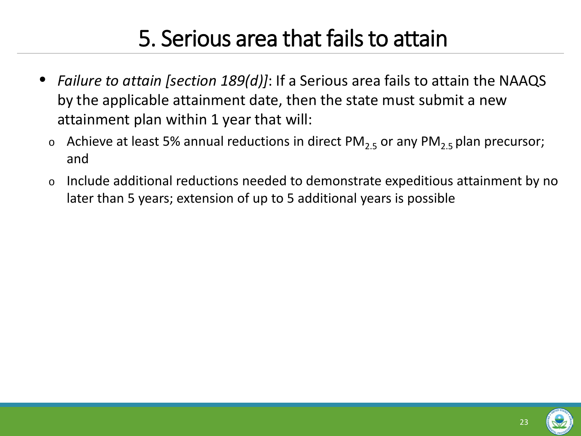### 5. Serious area that fails to attain

- *Failure to attain [section 189(d)]*: If a Serious area fails to attain the NAAQS by the applicable attainment date, then the state must submit a new attainment plan within 1 year that will:
	- $\circ$  Achieve at least 5% annual reductions in direct PM<sub>2.5</sub> or any PM<sub>2.5</sub> plan precursor; and
	- o Include additional reductions needed to demonstrate expeditious attainment by no later than 5 years; extension of up to 5 additional years is possible

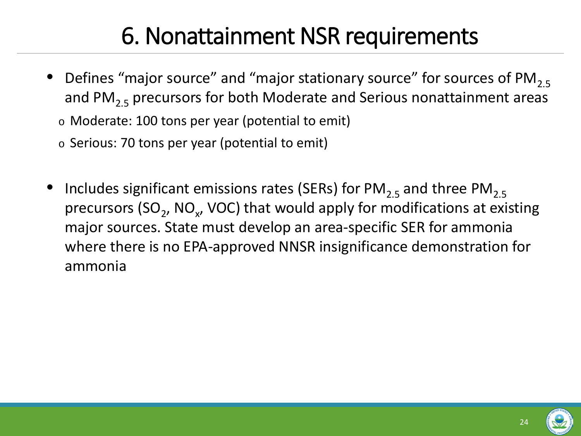### 6. Nonattainment NSR requirements

- Defines "major source" and "major stationary source" for sources of PM<sub>2.5</sub> and PM<sub>2.5</sub> precursors for both Moderate and Serious nonattainment areas
	- o Moderate: 100 tons per year (potential to emit)
	- o Serious: 70 tons per year (potential to emit)
- Includes significant emissions rates (SERs) for  $PM_{2.5}$  and three  $PM_{2.5}$ precursors (SO<sub>2</sub>, NO<sub> $x$ </sub>, VOC) that would apply for modifications at existing major sources. State must develop an area-specific SER for ammonia where there is no EPA-approved NNSR insignificance demonstration for ammonia

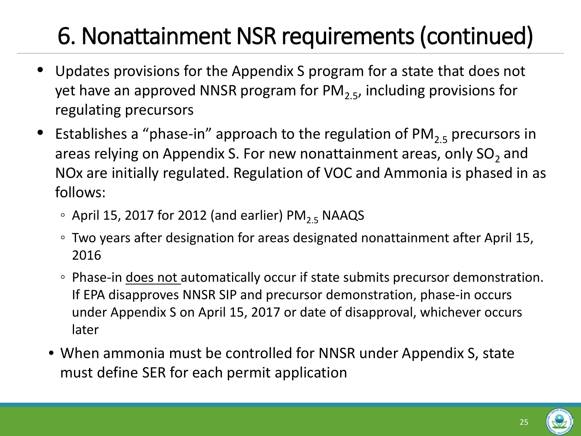## 6. Nonattainment NSR requirements (continued)

- Updates provisions for the Appendix S program for a state that does not yet have an approved NNSR program for PM<sub>2.5</sub>, including provisions for regulating precursors
- Establishes a "phase-in" approach to the regulation of  $PM_{2.5}$  precursors in areas relying on Appendix S. For new nonattainment areas, only  $SO<sub>2</sub>$  and NOx are initially regulated. Regulation of VOC and Ammonia is phased in as follows:
	- $\circ$  April 15, 2017 for 2012 (and earlier) PM<sub>2.5</sub> NAAQS
	- Two years after designation for areas designated nonattainment after April 15, 2016
	- Phase-in does not automatically occur if state submits precursor demonstration. If EPA disapproves NNSR SIP and precursor demonstration, phase-in occurs under Appendix S on April 15, 2017 or date of disapproval, whichever occurs later
	- When ammonia must be controlled for NNSR under Appendix S, state must define SER for each permit application

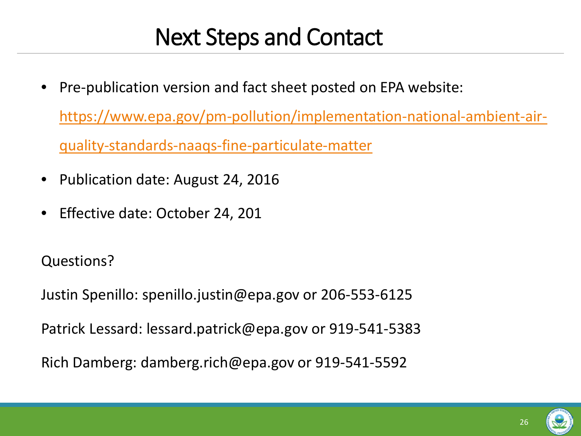### Next Steps and Contact

- Pre-publication version and fact sheet posted on EPA website: [https://www.epa.gov/pm-pollution/implementation-national-ambient-air](https://www.epa.gov/pm-pollution/implementation-national-ambient-air-quality-standards-naaqs-fine-particulate-matter)[quality-standards-naaqs-fine-particulate-matter](https://www.epa.gov/pm-pollution/implementation-national-ambient-air-quality-standards-naaqs-fine-particulate-matter)
- Publication date: August 24, 2016
- Effective date: October 24, 201

Questions?

Justin Spenillo: spenillo.justin@epa.gov or 206-553-6125

Patrick Lessard: lessard.patrick@epa.gov or 919-541-5383

Rich Damberg: damberg.rich@epa.gov or 919-541-5592

26